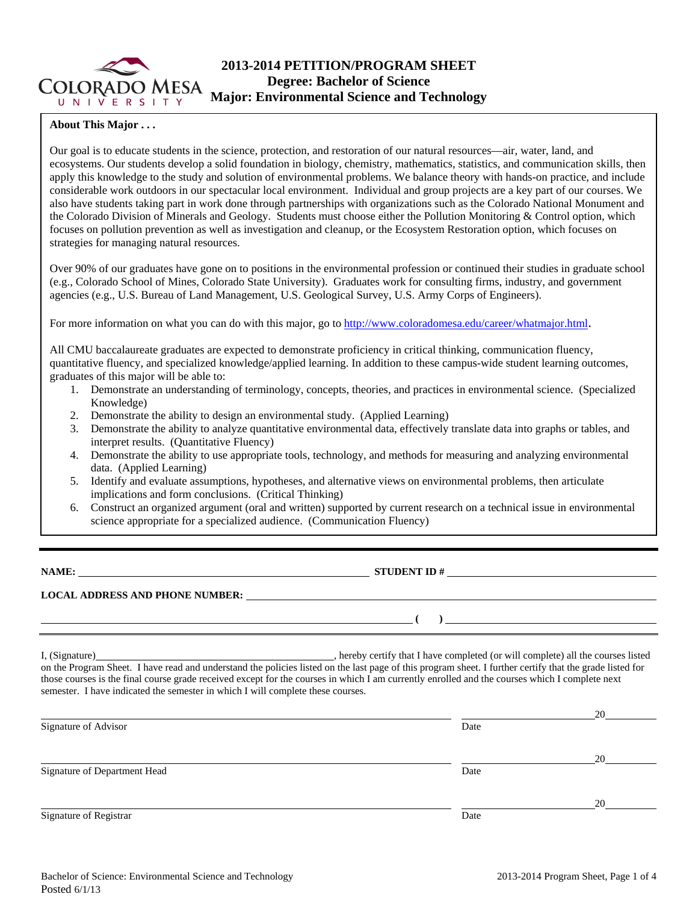

# **2013-2014 PETITION/PROGRAM SHEET Degree: Bachelor of Science Major: Environmental Science and Technology**

### **About This Major . . .**

Our goal is to educate students in the science, protection, and restoration of our natural resources—air, water, land, and ecosystems. Our students develop a solid foundation in biology, chemistry, mathematics, statistics, and communication skills, then apply this knowledge to the study and solution of environmental problems. We balance theory with hands-on practice, and include considerable work outdoors in our spectacular local environment. Individual and group projects are a key part of our courses. We also have students taking part in work done through partnerships with organizations such as the Colorado National Monument and the Colorado Division of Minerals and Geology. Students must choose either the Pollution Monitoring & Control option, which focuses on pollution prevention as well as investigation and cleanup, or the Ecosystem Restoration option, which focuses on strategies for managing natural resources.

Over 90% of our graduates have gone on to positions in the environmental profession or continued their studies in graduate school (e.g., Colorado School of Mines, Colorado State University). Graduates work for consulting firms, industry, and government agencies (e.g., U.S. Bureau of Land Management, U.S. Geological Survey, U.S. Army Corps of Engineers).

For more information on what you can do with this major, go to http://www.coloradomesa.edu/career/whatmajor.html.

All CMU baccalaureate graduates are expected to demonstrate proficiency in critical thinking, communication fluency, quantitative fluency, and specialized knowledge/applied learning. In addition to these campus-wide student learning outcomes, graduates of this major will be able to:

- 1. Demonstrate an understanding of terminology, concepts, theories, and practices in environmental science. (Specialized Knowledge)
- 2. Demonstrate the ability to design an environmental study. (Applied Learning)
- 3. Demonstrate the ability to analyze quantitative environmental data, effectively translate data into graphs or tables, and interpret results. (Quantitative Fluency)
- 4. Demonstrate the ability to use appropriate tools, technology, and methods for measuring and analyzing environmental data. (Applied Learning)
- 5. Identify and evaluate assumptions, hypotheses, and alternative views on environmental problems, then articulate implications and form conclusions. (Critical Thinking)
- 6. Construct an organized argument (oral and written) supported by current research on a technical issue in environmental science appropriate for a specialized audience. (Communication Fluency)

**NAME: STUDENT ID #**

 **( )** 

## **LOCAL ADDRESS AND PHONE NUMBER:**

I, (Signature) and the completed (or will completed (or will complete) all the courses listed on the Program Sheet. I have read and understand the policies listed on the last page of this program sheet. I further certify that the grade listed for those courses is the final course grade received except for the courses in which I am currently enrolled and the courses which I complete next semester. I have indicated the semester in which I will complete these courses.

|                              |      | 20 |
|------------------------------|------|----|
| Signature of Advisor         | Date |    |
|                              |      | 20 |
| Signature of Department Head | Date |    |
|                              |      | 20 |
| Signature of Registrar       | Date |    |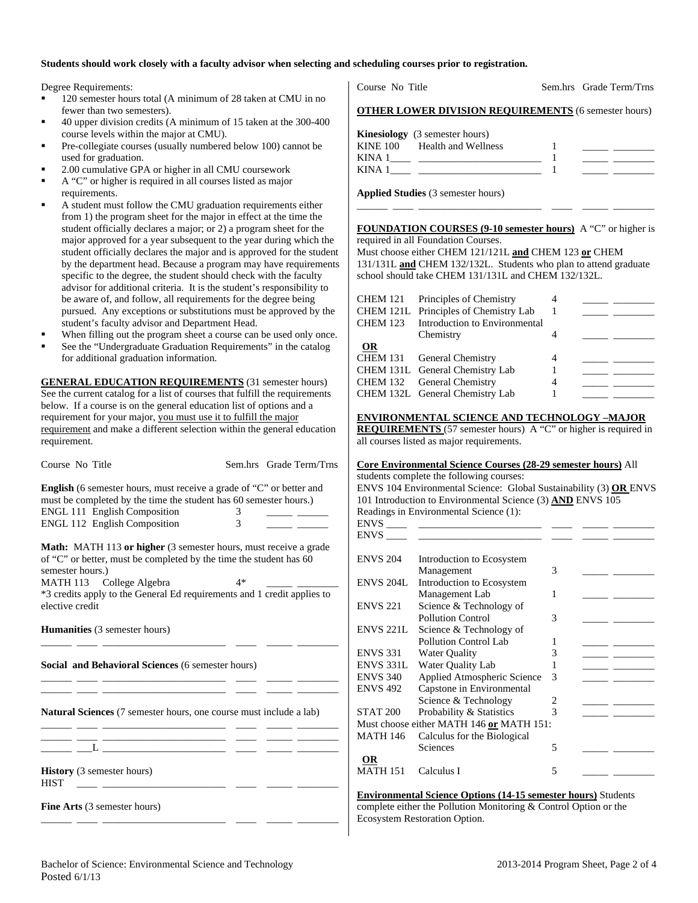#### **Students should work closely with a faculty advisor when selecting and scheduling courses prior to registration.**

Degree Requirements:

- 120 semester hours total (A minimum of 28 taken at CMU in no fewer than two semesters).
- 40 upper division credits (A minimum of 15 taken at the 300-400 course levels within the major at CMU).
- Pre-collegiate courses (usually numbered below 100) cannot be used for graduation.
- 2.00 cumulative GPA or higher in all CMU coursework
- A "C" or higher is required in all courses listed as major
- requirements. A student must follow the CMU graduation requirements either
- from 1) the program sheet for the major in effect at the time the student officially declares a major; or 2) a program sheet for the major approved for a year subsequent to the year during which the student officially declares the major and is approved for the student by the department head. Because a program may have requirements specific to the degree, the student should check with the faculty advisor for additional criteria. It is the student's responsibility to be aware of, and follow, all requirements for the degree being pursued. Any exceptions or substitutions must be approved by the student's faculty advisor and Department Head.
- When filling out the program sheet a course can be used only once.
- See the "Undergraduate Graduation Requirements" in the catalog for additional graduation information.

**GENERAL EDUCATION REQUIREMENTS** (31 semester hours) See the current catalog for a list of courses that fulfill the requirements below. If a course is on the general education list of options and a requirement for your major, you must use it to fulfill the major requirement and make a different selection within the general education requirement.

| Course No Title                                                                                                                                                   |                | Sem.hrs Grade Term/Trns |  |  |
|-------------------------------------------------------------------------------------------------------------------------------------------------------------------|----------------|-------------------------|--|--|
| <b>English</b> (6 semester hours, must receive a grade of "C" or better and<br>must be completed by the time the student has 60 semester hours.)                  |                |                         |  |  |
| <b>ENGL 111 English Composition</b>                                                                                                                               | 3              |                         |  |  |
| <b>ENGL 112 English Composition</b>                                                                                                                               | $\mathfrak{Z}$ |                         |  |  |
| <b>Math:</b> MATH 113 or higher (3 semester hours, must receive a grade<br>of "C" or better, must be completed by the time the student has 60<br>semester hours.) |                |                         |  |  |
| MATH 113 College Algebra                                                                                                                                          | $4*$           |                         |  |  |
| *3 credits apply to the General Ed requirements and 1 credit applies to<br>elective credit                                                                        |                |                         |  |  |
| <b>Humanities</b> (3 semester hours)                                                                                                                              |                |                         |  |  |
| Social and Behavioral Sciences (6 semester hours)                                                                                                                 |                |                         |  |  |
| Natural Sciences (7 semester hours, one course must include a lab)<br><u> 1988 - Andrea Stein, amerikansk politiker (</u>                                         |                |                         |  |  |
|                                                                                                                                                                   |                |                         |  |  |
| <b>History</b> (3 semester hours)<br><b>HIST</b>                                                                                                                  |                |                         |  |  |
| Fine Arts (3 semester hours)                                                                                                                                      |                |                         |  |  |

Course No Title Sem.hrs Grade Term/Trns

|             | <b>Kinesiology</b> (3 semester hours) |  |  |
|-------------|---------------------------------------|--|--|
| KINE 100    | Health and Wellness                   |  |  |
| <b>KINA</b> |                                       |  |  |
| <b>KINA</b> |                                       |  |  |

**Applied Studies** (3 semester hours)

#### **FOUNDATION COURSES (9-10 semester hours)** A "C" or higher is required in all Foundation Courses.

\_\_\_\_\_\_ \_\_\_\_ \_\_\_\_\_\_\_\_\_\_\_\_\_\_\_\_\_\_\_\_\_\_\_\_ \_\_\_\_ \_\_\_\_\_ \_\_\_\_\_\_\_\_

Must choose either CHEM 121/121L **and** CHEM 123 **or** CHEM 131/131L **and** CHEM 132/132L. Students who plan to attend graduate school should take CHEM 131/131L and CHEM 132/132L.

| CHEM 121<br><b>CHEM 123</b> | Principles of Chemistry<br>CHEM 121L Principles of Chemistry Lab<br>Introduction to Environmental |   |  |
|-----------------------------|---------------------------------------------------------------------------------------------------|---|--|
|                             | Chemistry                                                                                         |   |  |
| <b>OR</b>                   |                                                                                                   |   |  |
|                             | CHEM 131 General Chemistry                                                                        | 4 |  |
|                             | CHEM 131L General Chemistry Lab                                                                   |   |  |
|                             | CHEM 132 General Chemistry                                                                        |   |  |
|                             | CHEM 132L General Chemistry Lab                                                                   |   |  |
|                             |                                                                                                   |   |  |

#### **ENVIRONMENTAL SCIENCE AND TECHNOLOGY –MAJOR**

**REQUIREMENTS** (57 semester hours) A "C" or higher is required in all courses listed as major requirements.

### **Core Environmental Science Courses (28-29 semester hours)** All

students complete the following courses: ENVS 104 Environmental Science: Global Sustainability (3) **OR** ENVS

Readings in Environmental Science (1):

|  | 101 Introduction to Environmental Science (3) AND ENVS 105 |  |  |
|--|------------------------------------------------------------|--|--|

| Science & Technology of      |                                                                                        |                                                    |  |
|------------------------------|----------------------------------------------------------------------------------------|----------------------------------------------------|--|
| <b>Pollution Control</b>     | 3                                                                                      |                                                    |  |
| Science & Technology of      |                                                                                        |                                                    |  |
| <b>Pollution Control Lab</b> |                                                                                        |                                                    |  |
| <b>Water Quality</b>         | 3                                                                                      |                                                    |  |
| Water Quality Lab            |                                                                                        |                                                    |  |
| Applied Atmospheric Science  | 3                                                                                      |                                                    |  |
| Capstone in Environmental    |                                                                                        |                                                    |  |
| Science & Technology         | 2                                                                                      |                                                    |  |
| Probability & Statistics     | 3                                                                                      |                                                    |  |
|                              |                                                                                        |                                                    |  |
| Calculus for the Biological  |                                                                                        |                                                    |  |
| Sciences                     | 5                                                                                      |                                                    |  |
|                              |                                                                                        |                                                    |  |
| Calculus I                   | 5                                                                                      |                                                    |  |
|                              | Introduction to Ecosystem<br>Management<br>Introduction to Ecosystem<br>Management Lab | 3<br>1<br>Must choose either MATH 146 or MATH 151: |  |

**Environmental Science Options (14-15 semester hours)** Students complete either the Pollution Monitoring & Control Option or the Ecosystem Restoration Option.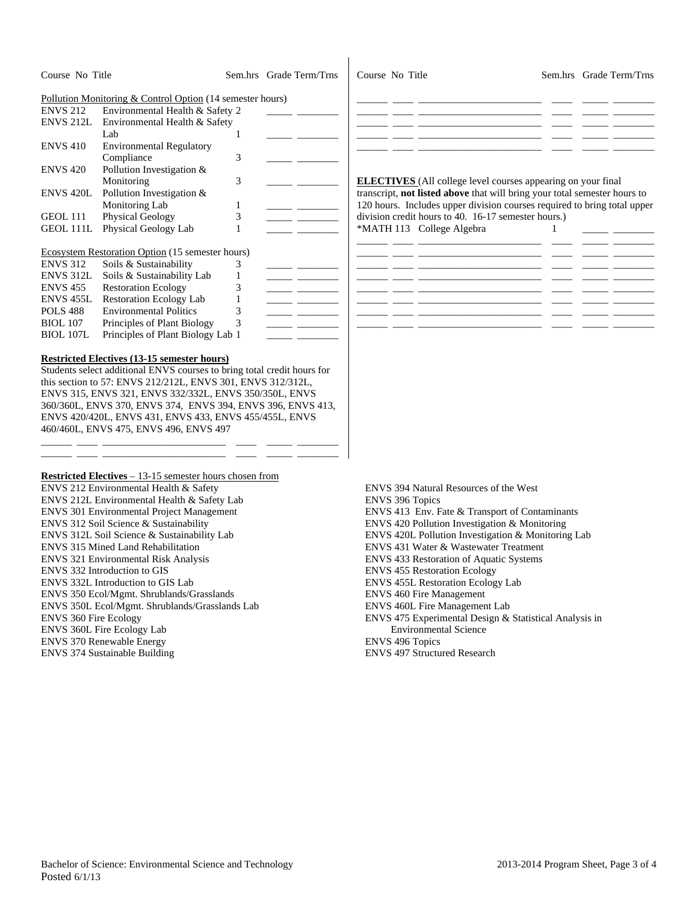| Course No Title<br>Sem.hrs Grade Term/Trns<br>Course No Title<br>Sem.hrs Grade Term/Trns<br>Pollution Monitoring & Control Option (14 semester hours)<br>Environmental Health & Safety 2<br><b>ENVS 212</b><br>ENVS 212L<br>Environmental Health & Safety<br>Lab<br>$\mathbf{1}$<br><b>ENVS 410</b><br><b>Environmental Regulatory</b><br>Compliance<br>3<br>Pollution Investigation &<br><b>ENVS 420</b><br>Monitoring<br>3<br><b>ELECTIVES</b> (All college level courses appearing on your final<br>Pollution Investigation &<br>transcript, not listed above that will bring your total semester hours to<br>ENVS 420L<br>Monitoring Lab<br>120 hours. Includes upper division courses required to bring total upper<br>1<br>Physical Geology<br>3<br>division credit hours to 40. 16-17 semester hours.)<br>GEOL 111<br>- - -<br>Physical Geology Lab<br>*MATH 113 College Algebra<br>GEOL 111L<br>1<br>1<br>Ecosystem Restoration Option (15 semester hours)<br><b>ENVS 312</b><br>Soils & Sustainability<br>3<br>Soils & Sustainability Lab<br>ENVS 312L<br>$\mathbf{1}$<br>$\overline{\phantom{a}}$ and $\overline{\phantom{a}}$<br><b>Restoration Ecology</b><br>3<br><b>ENVS 455</b><br>ENVS <sub>455</sub> L<br><b>Restoration Ecology Lab</b><br>$\mathbf{1}$<br>3<br><b>POLS 488</b><br><b>Environmental Politics</b><br>$\overline{\phantom{a}}$ and $\overline{\phantom{a}}$<br>Principles of Plant Biology<br>3<br><b>BIOL</b> 107<br>Principles of Plant Biology Lab 1<br><b>BIOL 107L</b><br><b>Restricted Electives (13-15 semester hours)</b><br>Students select additional ENVS courses to bring total credit hours for<br>this section to 57: ENVS 212/212L, ENVS 301, ENVS 312/312L,<br>ENVS 315, ENVS 321, ENVS 332/332L, ENVS 350/350L, ENVS<br>360/360L, ENVS 370, ENVS 374, ENVS 394, ENVS 396, ENVS 413,<br>ENVS 420/420L, ENVS 431, ENVS 433, ENVS 455/455L, ENVS<br>460/460L, ENVS 475, ENVS 496, ENVS 497<br>Restricted Electives - 13-15 semester hours chosen from<br>ENVS 212 Environmental Health & Safety<br>ENVS 394 Natural Resources of the West<br>ENVS 212L Environmental Health & Safety Lab<br><b>ENVS 396 Topics</b><br>ENVS 301 Environmental Project Management<br>ENVS 413 Env. Fate & Transport of Contaminants<br>ENVS 420 Pollution Investigation & Monitoring<br>ENVS 312 Soil Science & Sustainability<br>ENVS 420L Pollution Investigation & Monitoring Lab<br>ENVS 312L Soil Science & Sustainability Lab<br>ENVS 431 Water & Wastewater Treatment<br><b>ENVS 315 Mined Land Rehabilitation</b><br>ENVS 433 Restoration of Aquatic Systems<br><b>ENVS</b> 321 Environmental Risk Analysis<br>ENVS 332 Introduction to GIS<br><b>ENVS 455 Restoration Ecology</b><br>ENVS 332L Introduction to GIS Lab<br><b>ENVS 455L Restoration Ecology Lab</b><br>ENVS 350 Ecol/Mgmt. Shrublands/Grasslands<br><b>ENVS 460 Fire Management</b><br>ENVS 460L Fire Management Lab<br>ENVS 350L Ecol/Mgmt. Shrublands/Grasslands Lab<br>ENVS 475 Experimental Design & Statistical Analysis in<br><b>ENVS 360 Fire Ecology</b><br><b>Environmental Science</b><br>ENVS 360L Fire Ecology Lab<br><b>ENVS 496 Topics</b><br><b>ENVS 370 Renewable Energy</b><br>ENVS 374 Sustainable Building<br>ENVS 497 Structured Research |  |  |  |  |
|-------------------------------------------------------------------------------------------------------------------------------------------------------------------------------------------------------------------------------------------------------------------------------------------------------------------------------------------------------------------------------------------------------------------------------------------------------------------------------------------------------------------------------------------------------------------------------------------------------------------------------------------------------------------------------------------------------------------------------------------------------------------------------------------------------------------------------------------------------------------------------------------------------------------------------------------------------------------------------------------------------------------------------------------------------------------------------------------------------------------------------------------------------------------------------------------------------------------------------------------------------------------------------------------------------------------------------------------------------------------------------------------------------------------------------------------------------------------------------------------------------------------------------------------------------------------------------------------------------------------------------------------------------------------------------------------------------------------------------------------------------------------------------------------------------------------------------------------------------------------------------------------------------------------------------------------------------------------------------------------------------------------------------------------------------------------------------------------------------------------------------------------------------------------------------------------------------------------------------------------------------------------------------------------------------------------------------------------------------------------------------------------------------------------------------------------------------------------------------------------------------------------------------------------------------------------------------------------------------------------------------------------------------------------------------------------------------------------------------------------------------------------------------------------------------------------------------------------------------------------------------------------------------------------------------------------------------------------------------------------------------------------------------------------------------------------------------------------------------------------------------------------------------------------------------------------------------------------------------------------------------------------|--|--|--|--|
|                                                                                                                                                                                                                                                                                                                                                                                                                                                                                                                                                                                                                                                                                                                                                                                                                                                                                                                                                                                                                                                                                                                                                                                                                                                                                                                                                                                                                                                                                                                                                                                                                                                                                                                                                                                                                                                                                                                                                                                                                                                                                                                                                                                                                                                                                                                                                                                                                                                                                                                                                                                                                                                                                                                                                                                                                                                                                                                                                                                                                                                                                                                                                                                                                                                                   |  |  |  |  |
|                                                                                                                                                                                                                                                                                                                                                                                                                                                                                                                                                                                                                                                                                                                                                                                                                                                                                                                                                                                                                                                                                                                                                                                                                                                                                                                                                                                                                                                                                                                                                                                                                                                                                                                                                                                                                                                                                                                                                                                                                                                                                                                                                                                                                                                                                                                                                                                                                                                                                                                                                                                                                                                                                                                                                                                                                                                                                                                                                                                                                                                                                                                                                                                                                                                                   |  |  |  |  |
|                                                                                                                                                                                                                                                                                                                                                                                                                                                                                                                                                                                                                                                                                                                                                                                                                                                                                                                                                                                                                                                                                                                                                                                                                                                                                                                                                                                                                                                                                                                                                                                                                                                                                                                                                                                                                                                                                                                                                                                                                                                                                                                                                                                                                                                                                                                                                                                                                                                                                                                                                                                                                                                                                                                                                                                                                                                                                                                                                                                                                                                                                                                                                                                                                                                                   |  |  |  |  |
|                                                                                                                                                                                                                                                                                                                                                                                                                                                                                                                                                                                                                                                                                                                                                                                                                                                                                                                                                                                                                                                                                                                                                                                                                                                                                                                                                                                                                                                                                                                                                                                                                                                                                                                                                                                                                                                                                                                                                                                                                                                                                                                                                                                                                                                                                                                                                                                                                                                                                                                                                                                                                                                                                                                                                                                                                                                                                                                                                                                                                                                                                                                                                                                                                                                                   |  |  |  |  |
|                                                                                                                                                                                                                                                                                                                                                                                                                                                                                                                                                                                                                                                                                                                                                                                                                                                                                                                                                                                                                                                                                                                                                                                                                                                                                                                                                                                                                                                                                                                                                                                                                                                                                                                                                                                                                                                                                                                                                                                                                                                                                                                                                                                                                                                                                                                                                                                                                                                                                                                                                                                                                                                                                                                                                                                                                                                                                                                                                                                                                                                                                                                                                                                                                                                                   |  |  |  |  |
|                                                                                                                                                                                                                                                                                                                                                                                                                                                                                                                                                                                                                                                                                                                                                                                                                                                                                                                                                                                                                                                                                                                                                                                                                                                                                                                                                                                                                                                                                                                                                                                                                                                                                                                                                                                                                                                                                                                                                                                                                                                                                                                                                                                                                                                                                                                                                                                                                                                                                                                                                                                                                                                                                                                                                                                                                                                                                                                                                                                                                                                                                                                                                                                                                                                                   |  |  |  |  |
|                                                                                                                                                                                                                                                                                                                                                                                                                                                                                                                                                                                                                                                                                                                                                                                                                                                                                                                                                                                                                                                                                                                                                                                                                                                                                                                                                                                                                                                                                                                                                                                                                                                                                                                                                                                                                                                                                                                                                                                                                                                                                                                                                                                                                                                                                                                                                                                                                                                                                                                                                                                                                                                                                                                                                                                                                                                                                                                                                                                                                                                                                                                                                                                                                                                                   |  |  |  |  |
|                                                                                                                                                                                                                                                                                                                                                                                                                                                                                                                                                                                                                                                                                                                                                                                                                                                                                                                                                                                                                                                                                                                                                                                                                                                                                                                                                                                                                                                                                                                                                                                                                                                                                                                                                                                                                                                                                                                                                                                                                                                                                                                                                                                                                                                                                                                                                                                                                                                                                                                                                                                                                                                                                                                                                                                                                                                                                                                                                                                                                                                                                                                                                                                                                                                                   |  |  |  |  |
|                                                                                                                                                                                                                                                                                                                                                                                                                                                                                                                                                                                                                                                                                                                                                                                                                                                                                                                                                                                                                                                                                                                                                                                                                                                                                                                                                                                                                                                                                                                                                                                                                                                                                                                                                                                                                                                                                                                                                                                                                                                                                                                                                                                                                                                                                                                                                                                                                                                                                                                                                                                                                                                                                                                                                                                                                                                                                                                                                                                                                                                                                                                                                                                                                                                                   |  |  |  |  |
|                                                                                                                                                                                                                                                                                                                                                                                                                                                                                                                                                                                                                                                                                                                                                                                                                                                                                                                                                                                                                                                                                                                                                                                                                                                                                                                                                                                                                                                                                                                                                                                                                                                                                                                                                                                                                                                                                                                                                                                                                                                                                                                                                                                                                                                                                                                                                                                                                                                                                                                                                                                                                                                                                                                                                                                                                                                                                                                                                                                                                                                                                                                                                                                                                                                                   |  |  |  |  |
|                                                                                                                                                                                                                                                                                                                                                                                                                                                                                                                                                                                                                                                                                                                                                                                                                                                                                                                                                                                                                                                                                                                                                                                                                                                                                                                                                                                                                                                                                                                                                                                                                                                                                                                                                                                                                                                                                                                                                                                                                                                                                                                                                                                                                                                                                                                                                                                                                                                                                                                                                                                                                                                                                                                                                                                                                                                                                                                                                                                                                                                                                                                                                                                                                                                                   |  |  |  |  |
|                                                                                                                                                                                                                                                                                                                                                                                                                                                                                                                                                                                                                                                                                                                                                                                                                                                                                                                                                                                                                                                                                                                                                                                                                                                                                                                                                                                                                                                                                                                                                                                                                                                                                                                                                                                                                                                                                                                                                                                                                                                                                                                                                                                                                                                                                                                                                                                                                                                                                                                                                                                                                                                                                                                                                                                                                                                                                                                                                                                                                                                                                                                                                                                                                                                                   |  |  |  |  |
|                                                                                                                                                                                                                                                                                                                                                                                                                                                                                                                                                                                                                                                                                                                                                                                                                                                                                                                                                                                                                                                                                                                                                                                                                                                                                                                                                                                                                                                                                                                                                                                                                                                                                                                                                                                                                                                                                                                                                                                                                                                                                                                                                                                                                                                                                                                                                                                                                                                                                                                                                                                                                                                                                                                                                                                                                                                                                                                                                                                                                                                                                                                                                                                                                                                                   |  |  |  |  |
|                                                                                                                                                                                                                                                                                                                                                                                                                                                                                                                                                                                                                                                                                                                                                                                                                                                                                                                                                                                                                                                                                                                                                                                                                                                                                                                                                                                                                                                                                                                                                                                                                                                                                                                                                                                                                                                                                                                                                                                                                                                                                                                                                                                                                                                                                                                                                                                                                                                                                                                                                                                                                                                                                                                                                                                                                                                                                                                                                                                                                                                                                                                                                                                                                                                                   |  |  |  |  |
|                                                                                                                                                                                                                                                                                                                                                                                                                                                                                                                                                                                                                                                                                                                                                                                                                                                                                                                                                                                                                                                                                                                                                                                                                                                                                                                                                                                                                                                                                                                                                                                                                                                                                                                                                                                                                                                                                                                                                                                                                                                                                                                                                                                                                                                                                                                                                                                                                                                                                                                                                                                                                                                                                                                                                                                                                                                                                                                                                                                                                                                                                                                                                                                                                                                                   |  |  |  |  |
|                                                                                                                                                                                                                                                                                                                                                                                                                                                                                                                                                                                                                                                                                                                                                                                                                                                                                                                                                                                                                                                                                                                                                                                                                                                                                                                                                                                                                                                                                                                                                                                                                                                                                                                                                                                                                                                                                                                                                                                                                                                                                                                                                                                                                                                                                                                                                                                                                                                                                                                                                                                                                                                                                                                                                                                                                                                                                                                                                                                                                                                                                                                                                                                                                                                                   |  |  |  |  |
|                                                                                                                                                                                                                                                                                                                                                                                                                                                                                                                                                                                                                                                                                                                                                                                                                                                                                                                                                                                                                                                                                                                                                                                                                                                                                                                                                                                                                                                                                                                                                                                                                                                                                                                                                                                                                                                                                                                                                                                                                                                                                                                                                                                                                                                                                                                                                                                                                                                                                                                                                                                                                                                                                                                                                                                                                                                                                                                                                                                                                                                                                                                                                                                                                                                                   |  |  |  |  |
|                                                                                                                                                                                                                                                                                                                                                                                                                                                                                                                                                                                                                                                                                                                                                                                                                                                                                                                                                                                                                                                                                                                                                                                                                                                                                                                                                                                                                                                                                                                                                                                                                                                                                                                                                                                                                                                                                                                                                                                                                                                                                                                                                                                                                                                                                                                                                                                                                                                                                                                                                                                                                                                                                                                                                                                                                                                                                                                                                                                                                                                                                                                                                                                                                                                                   |  |  |  |  |
|                                                                                                                                                                                                                                                                                                                                                                                                                                                                                                                                                                                                                                                                                                                                                                                                                                                                                                                                                                                                                                                                                                                                                                                                                                                                                                                                                                                                                                                                                                                                                                                                                                                                                                                                                                                                                                                                                                                                                                                                                                                                                                                                                                                                                                                                                                                                                                                                                                                                                                                                                                                                                                                                                                                                                                                                                                                                                                                                                                                                                                                                                                                                                                                                                                                                   |  |  |  |  |
|                                                                                                                                                                                                                                                                                                                                                                                                                                                                                                                                                                                                                                                                                                                                                                                                                                                                                                                                                                                                                                                                                                                                                                                                                                                                                                                                                                                                                                                                                                                                                                                                                                                                                                                                                                                                                                                                                                                                                                                                                                                                                                                                                                                                                                                                                                                                                                                                                                                                                                                                                                                                                                                                                                                                                                                                                                                                                                                                                                                                                                                                                                                                                                                                                                                                   |  |  |  |  |
|                                                                                                                                                                                                                                                                                                                                                                                                                                                                                                                                                                                                                                                                                                                                                                                                                                                                                                                                                                                                                                                                                                                                                                                                                                                                                                                                                                                                                                                                                                                                                                                                                                                                                                                                                                                                                                                                                                                                                                                                                                                                                                                                                                                                                                                                                                                                                                                                                                                                                                                                                                                                                                                                                                                                                                                                                                                                                                                                                                                                                                                                                                                                                                                                                                                                   |  |  |  |  |
|                                                                                                                                                                                                                                                                                                                                                                                                                                                                                                                                                                                                                                                                                                                                                                                                                                                                                                                                                                                                                                                                                                                                                                                                                                                                                                                                                                                                                                                                                                                                                                                                                                                                                                                                                                                                                                                                                                                                                                                                                                                                                                                                                                                                                                                                                                                                                                                                                                                                                                                                                                                                                                                                                                                                                                                                                                                                                                                                                                                                                                                                                                                                                                                                                                                                   |  |  |  |  |
|                                                                                                                                                                                                                                                                                                                                                                                                                                                                                                                                                                                                                                                                                                                                                                                                                                                                                                                                                                                                                                                                                                                                                                                                                                                                                                                                                                                                                                                                                                                                                                                                                                                                                                                                                                                                                                                                                                                                                                                                                                                                                                                                                                                                                                                                                                                                                                                                                                                                                                                                                                                                                                                                                                                                                                                                                                                                                                                                                                                                                                                                                                                                                                                                                                                                   |  |  |  |  |
|                                                                                                                                                                                                                                                                                                                                                                                                                                                                                                                                                                                                                                                                                                                                                                                                                                                                                                                                                                                                                                                                                                                                                                                                                                                                                                                                                                                                                                                                                                                                                                                                                                                                                                                                                                                                                                                                                                                                                                                                                                                                                                                                                                                                                                                                                                                                                                                                                                                                                                                                                                                                                                                                                                                                                                                                                                                                                                                                                                                                                                                                                                                                                                                                                                                                   |  |  |  |  |
|                                                                                                                                                                                                                                                                                                                                                                                                                                                                                                                                                                                                                                                                                                                                                                                                                                                                                                                                                                                                                                                                                                                                                                                                                                                                                                                                                                                                                                                                                                                                                                                                                                                                                                                                                                                                                                                                                                                                                                                                                                                                                                                                                                                                                                                                                                                                                                                                                                                                                                                                                                                                                                                                                                                                                                                                                                                                                                                                                                                                                                                                                                                                                                                                                                                                   |  |  |  |  |